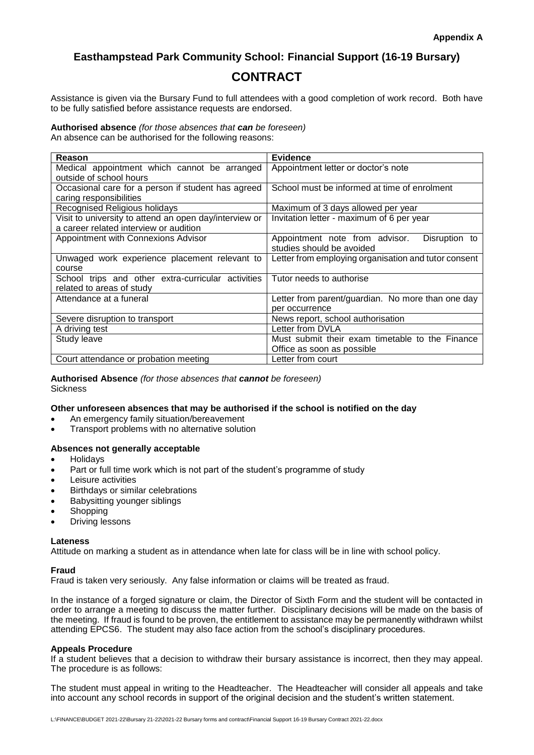### **Easthampstead Park Community School: Financial Support (16-19 Bursary)**

## **CONTRACT**

Assistance is given via the Bursary Fund to full attendees with a good completion of work record. Both have to be fully satisfied before assistance requests are endorsed.

**Authorised absence** *(for those absences that can be foreseen)* An absence can be authorised for the following reasons:

| Reason                                                 | <b>Evidence</b>                                      |
|--------------------------------------------------------|------------------------------------------------------|
| Medical appointment which cannot be arranged           | Appointment letter or doctor's note                  |
| outside of school hours                                |                                                      |
| Occasional care for a person if student has agreed     | School must be informed at time of enrolment         |
| caring responsibilities                                |                                                      |
| Recognised Religious holidays                          | Maximum of 3 days allowed per year                   |
| Visit to university to attend an open day/interview or | Invitation letter - maximum of 6 per year            |
| a career related interview or audition                 |                                                      |
| Appointment with Connexions Advisor                    | Appointment note from advisor.<br>Disruption to      |
|                                                        | studies should be avoided                            |
| Unwaged work experience placement relevant to          | Letter from employing organisation and tutor consent |
| course                                                 |                                                      |
| School trips and other extra-curricular activities     | Tutor needs to authorise                             |
| related to areas of study                              |                                                      |
| Attendance at a funeral                                | Letter from parent/guardian. No more than one day    |
|                                                        | per occurrence                                       |
| Severe disruption to transport                         | News report, school authorisation                    |
| A driving test                                         | Letter from DVLA                                     |
| Study leave                                            | Must submit their exam timetable to the Finance      |
|                                                        | Office as soon as possible                           |
| Court attendance or probation meeting                  | Letter from court                                    |

**Authorised Absence** *(for those absences that cannot be foreseen)* **Sickness** 

#### **Other unforeseen absences that may be authorised if the school is notified on the day**

- An emergency family situation/bereavement
- Transport problems with no alternative solution

#### **Absences not generally acceptable**

- Holidays
- Part or full time work which is not part of the student's programme of study
- Leisure activities
- Birthdays or similar celebrations
- Babysitting younger siblings
- **Shopping**
- Driving lessons

#### **Lateness**

Attitude on marking a student as in attendance when late for class will be in line with school policy.

#### **Fraud**

Fraud is taken very seriously. Any false information or claims will be treated as fraud.

In the instance of a forged signature or claim, the Director of Sixth Form and the student will be contacted in order to arrange a meeting to discuss the matter further. Disciplinary decisions will be made on the basis of the meeting. If fraud is found to be proven, the entitlement to assistance may be permanently withdrawn whilst attending EPCS6. The student may also face action from the school's disciplinary procedures.

#### **Appeals Procedure**

If a student believes that a decision to withdraw their bursary assistance is incorrect, then they may appeal. The procedure is as follows:

The student must appeal in writing to the Headteacher. The Headteacher will consider all appeals and take into account any school records in support of the original decision and the student's written statement.